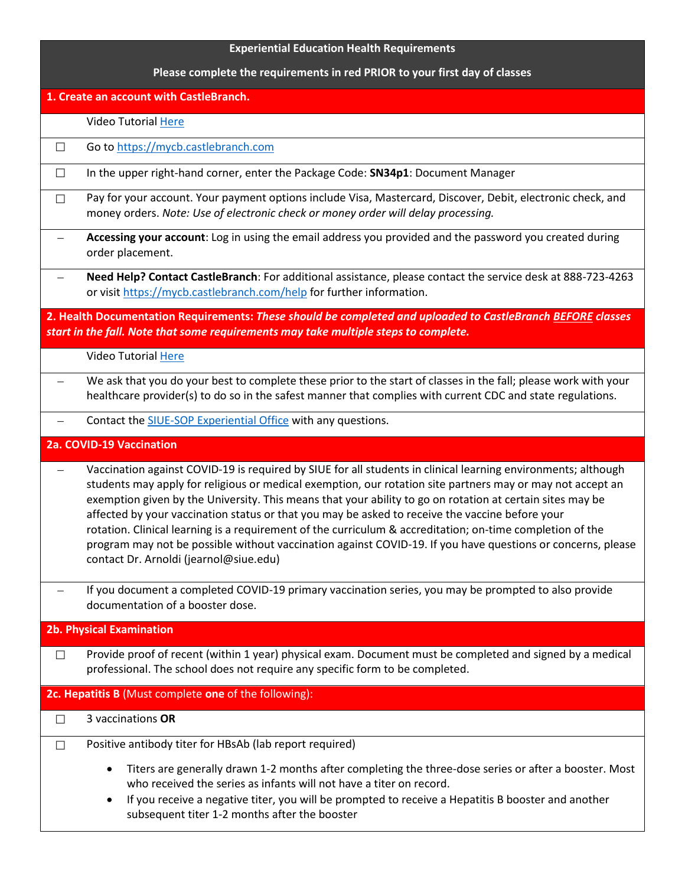| <b>Experiential Education Health Requirements</b> |                                                                                                                                                                                                                                                                                                                                                                                                                                                                                                                                                                                                                                                                                                                   |
|---------------------------------------------------|-------------------------------------------------------------------------------------------------------------------------------------------------------------------------------------------------------------------------------------------------------------------------------------------------------------------------------------------------------------------------------------------------------------------------------------------------------------------------------------------------------------------------------------------------------------------------------------------------------------------------------------------------------------------------------------------------------------------|
|                                                   | Please complete the requirements in red PRIOR to your first day of classes                                                                                                                                                                                                                                                                                                                                                                                                                                                                                                                                                                                                                                        |
| 1. Create an account with CastleBranch.           |                                                                                                                                                                                                                                                                                                                                                                                                                                                                                                                                                                                                                                                                                                                   |
|                                                   | Video Tutorial Here                                                                                                                                                                                                                                                                                                                                                                                                                                                                                                                                                                                                                                                                                               |
| $\Box$                                            | Go to https://mycb.castlebranch.com                                                                                                                                                                                                                                                                                                                                                                                                                                                                                                                                                                                                                                                                               |
| $\Box$                                            | In the upper right-hand corner, enter the Package Code: SN34p1: Document Manager                                                                                                                                                                                                                                                                                                                                                                                                                                                                                                                                                                                                                                  |
| П                                                 | Pay for your account. Your payment options include Visa, Mastercard, Discover, Debit, electronic check, and<br>money orders. Note: Use of electronic check or money order will delay processing.                                                                                                                                                                                                                                                                                                                                                                                                                                                                                                                  |
|                                                   | Accessing your account: Log in using the email address you provided and the password you created during<br>order placement.                                                                                                                                                                                                                                                                                                                                                                                                                                                                                                                                                                                       |
|                                                   | Need Help? Contact CastleBranch: For additional assistance, please contact the service desk at 888-723-4263<br>or visit https://mycb.castlebranch.com/help for further information.                                                                                                                                                                                                                                                                                                                                                                                                                                                                                                                               |
|                                                   | 2. Health Documentation Requirements: These should be completed and uploaded to CastleBranch BEFORE classes<br>start in the fall. Note that some requirements may take multiple steps to complete.                                                                                                                                                                                                                                                                                                                                                                                                                                                                                                                |
|                                                   | <b>Video Tutorial Here</b>                                                                                                                                                                                                                                                                                                                                                                                                                                                                                                                                                                                                                                                                                        |
|                                                   | We ask that you do your best to complete these prior to the start of classes in the fall; please work with your<br>healthcare provider(s) to do so in the safest manner that complies with current CDC and state regulations.                                                                                                                                                                                                                                                                                                                                                                                                                                                                                     |
|                                                   | Contact the SIUE-SOP Experiential Office with any questions.                                                                                                                                                                                                                                                                                                                                                                                                                                                                                                                                                                                                                                                      |
| 2a. COVID-19 Vaccination                          |                                                                                                                                                                                                                                                                                                                                                                                                                                                                                                                                                                                                                                                                                                                   |
|                                                   | Vaccination against COVID-19 is required by SIUE for all students in clinical learning environments; although<br>students may apply for religious or medical exemption, our rotation site partners may or may not accept an<br>exemption given by the University. This means that your ability to go on rotation at certain sites may be<br>affected by your vaccination status or that you may be asked to receive the vaccine before your<br>rotation. Clinical learning is a requirement of the curriculum & accreditation; on-time completion of the<br>program may not be possible without vaccination against COVID-19. If you have questions or concerns, please<br>contact Dr. Arnoldi (jearnol@siue.edu) |
|                                                   | If you document a completed COVID-19 primary vaccination series, you may be prompted to also provide<br>documentation of a booster dose.                                                                                                                                                                                                                                                                                                                                                                                                                                                                                                                                                                          |
|                                                   | <b>2b. Physical Examination</b>                                                                                                                                                                                                                                                                                                                                                                                                                                                                                                                                                                                                                                                                                   |
| $\Box$                                            | Provide proof of recent (within 1 year) physical exam. Document must be completed and signed by a medical<br>professional. The school does not require any specific form to be completed.                                                                                                                                                                                                                                                                                                                                                                                                                                                                                                                         |
|                                                   | 2c. Hepatitis B (Must complete one of the following):                                                                                                                                                                                                                                                                                                                                                                                                                                                                                                                                                                                                                                                             |
| $\Box$                                            | 3 vaccinations OR                                                                                                                                                                                                                                                                                                                                                                                                                                                                                                                                                                                                                                                                                                 |
| $\Box$                                            | Positive antibody titer for HBsAb (lab report required)                                                                                                                                                                                                                                                                                                                                                                                                                                                                                                                                                                                                                                                           |
|                                                   | Titers are generally drawn 1-2 months after completing the three-dose series or after a booster. Most<br>$\bullet$<br>who received the series as infants will not have a titer on record.<br>If you receive a negative titer, you will be prompted to receive a Hepatitis B booster and another<br>$\bullet$<br>subsequent titer 1-2 months after the booster                                                                                                                                                                                                                                                                                                                                                     |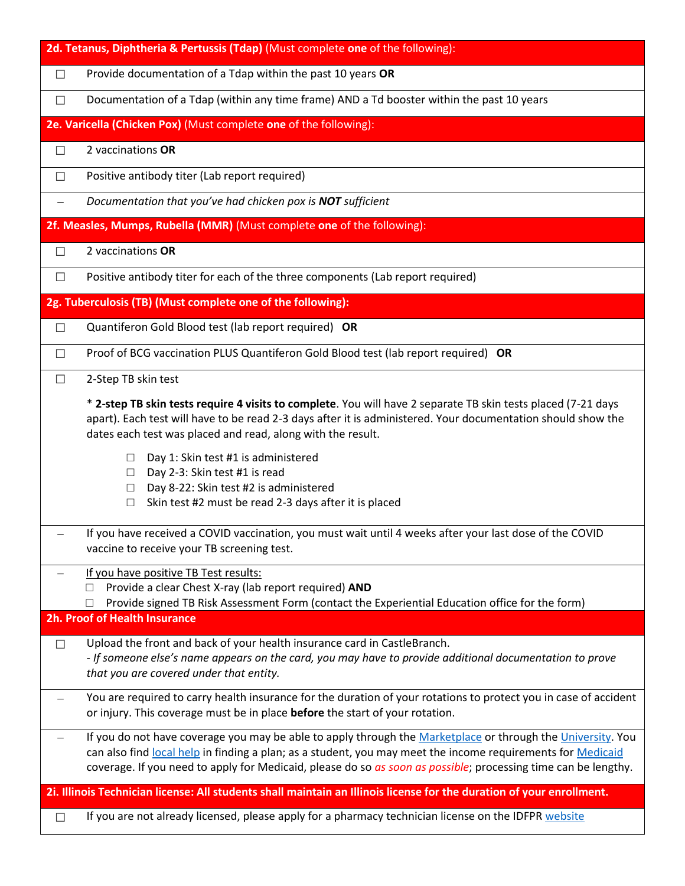| 2d. Tetanus, Diphtheria & Pertussis (Tdap) (Must complete one of the following): |                                                                                                                                                                                                                                                                                                                                                                                                                                                                                                                 |  |
|----------------------------------------------------------------------------------|-----------------------------------------------------------------------------------------------------------------------------------------------------------------------------------------------------------------------------------------------------------------------------------------------------------------------------------------------------------------------------------------------------------------------------------------------------------------------------------------------------------------|--|
| $\Box$                                                                           | Provide documentation of a Tdap within the past 10 years OR                                                                                                                                                                                                                                                                                                                                                                                                                                                     |  |
| $\Box$                                                                           | Documentation of a Tdap (within any time frame) AND a Td booster within the past 10 years                                                                                                                                                                                                                                                                                                                                                                                                                       |  |
|                                                                                  | 2e. Varicella (Chicken Pox) (Must complete one of the following):                                                                                                                                                                                                                                                                                                                                                                                                                                               |  |
| $\Box$                                                                           | 2 vaccinations OR                                                                                                                                                                                                                                                                                                                                                                                                                                                                                               |  |
| $\Box$                                                                           | Positive antibody titer (Lab report required)                                                                                                                                                                                                                                                                                                                                                                                                                                                                   |  |
|                                                                                  | Documentation that you've had chicken pox is NOT sufficient                                                                                                                                                                                                                                                                                                                                                                                                                                                     |  |
|                                                                                  | 2f. Measles, Mumps, Rubella (MMR) (Must complete one of the following):                                                                                                                                                                                                                                                                                                                                                                                                                                         |  |
| П                                                                                | 2 vaccinations OR                                                                                                                                                                                                                                                                                                                                                                                                                                                                                               |  |
| $\Box$                                                                           | Positive antibody titer for each of the three components (Lab report required)                                                                                                                                                                                                                                                                                                                                                                                                                                  |  |
|                                                                                  | 2g. Tuberculosis (TB) (Must complete one of the following):                                                                                                                                                                                                                                                                                                                                                                                                                                                     |  |
| $\Box$                                                                           | Quantiferon Gold Blood test (lab report required) OR                                                                                                                                                                                                                                                                                                                                                                                                                                                            |  |
| $\Box$                                                                           | Proof of BCG vaccination PLUS Quantiferon Gold Blood test (lab report required) OR                                                                                                                                                                                                                                                                                                                                                                                                                              |  |
| $\Box$                                                                           | 2-Step TB skin test                                                                                                                                                                                                                                                                                                                                                                                                                                                                                             |  |
|                                                                                  | * 2-step TB skin tests require 4 visits to complete. You will have 2 separate TB skin tests placed (7-21 days<br>apart). Each test will have to be read 2-3 days after it is administered. Your documentation should show the<br>dates each test was placed and read, along with the result.<br>Day 1: Skin test #1 is administered<br>$\Box$<br>Day 2-3: Skin test #1 is read<br>$\Box$<br>Day 8-22: Skin test #2 is administered<br>$\Box$<br>Skin test #2 must be read 2-3 days after it is placed<br>$\Box$ |  |
|                                                                                  | If you have received a COVID vaccination, you must wait until 4 weeks after your last dose of the COVID<br>vaccine to receive your TB screening test.                                                                                                                                                                                                                                                                                                                                                           |  |
|                                                                                  | If you have positive TB Test results:<br>Provide a clear Chest X-ray (lab report required) AND<br>Provide signed TB Risk Assessment Form (contact the Experiential Education office for the form)<br>□                                                                                                                                                                                                                                                                                                          |  |
|                                                                                  | 2h. Proof of Health Insurance                                                                                                                                                                                                                                                                                                                                                                                                                                                                                   |  |
| $\Box$                                                                           | Upload the front and back of your health insurance card in CastleBranch.<br>- If someone else's name appears on the card, you may have to provide additional documentation to prove<br>that you are covered under that entity.                                                                                                                                                                                                                                                                                  |  |
|                                                                                  | You are required to carry health insurance for the duration of your rotations to protect you in case of accident<br>or injury. This coverage must be in place before the start of your rotation.                                                                                                                                                                                                                                                                                                                |  |
|                                                                                  | If you do not have coverage you may be able to apply through the Marketplace or through the University. You<br>can also find local help in finding a plan; as a student, you may meet the income requirements for Medicaid<br>coverage. If you need to apply for Medicaid, please do so as soon as possible; processing time can be lengthy.                                                                                                                                                                    |  |
|                                                                                  | 2i. Illinois Technician license: All students shall maintain an Illinois license for the duration of your enrollment.                                                                                                                                                                                                                                                                                                                                                                                           |  |
| $\Box$                                                                           | If you are not already licensed, please apply for a pharmacy technician license on the IDFPR website                                                                                                                                                                                                                                                                                                                                                                                                            |  |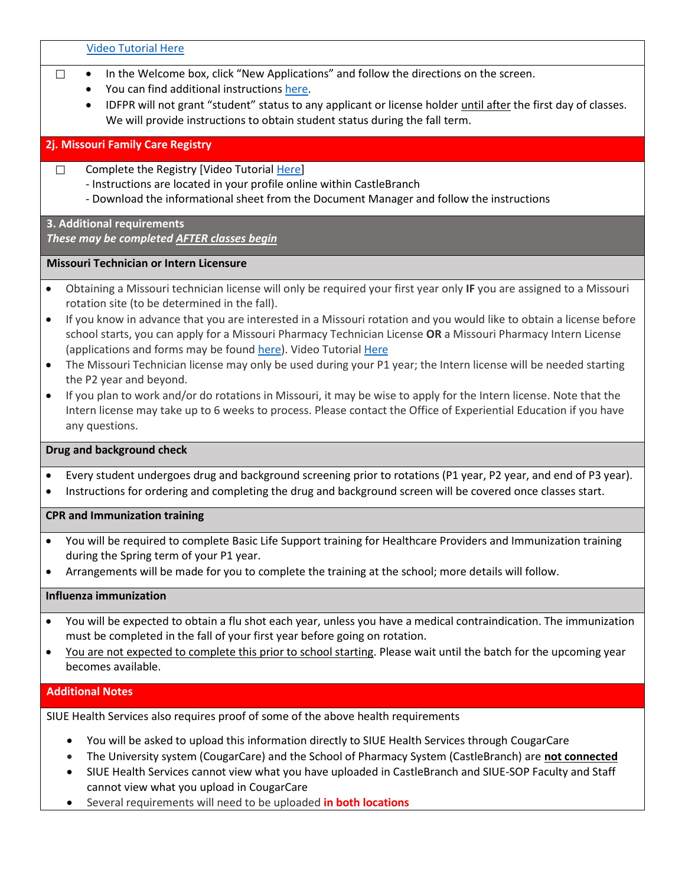[Video Tutorial Here](https://youtu.be/bW5b7ReWZFY)

- □ In the Welcome box, click "New Applications" and follow the directions on the screen.
	- You can find additional instruction[s here.](https://www.idfpr.com/Forms/Online/Pharmacy%20Technician.pdf)
	- IDFPR will not grant "student" status to any applicant or license holder until after the first day of classes. We will provide instructions to obtain student status during the fall term.

#### **2j. Missouri Family Care Registry**

- □ Complete the Registry [Video Tutorial [Here\]](https://youtu.be/xt8gUNhiOxY)
	- Instructions are located in your profile online within CastleBranch
	- Download the informational sheet from the Document Manager and follow the instructions

# **3. Additional requirements**

*These may be completed AFTER classes begin*

#### **Missouri Technician or Intern Licensure**

- Obtaining a Missouri technician license will only be required your first year only **IF** you are assigned to a Missouri rotation site (to be determined in the fall).
- If you know in advance that you are interested in a Missouri rotation and you would like to obtain a license before school starts, you can apply for a Missouri Pharmacy Technician License **OR** a Missouri Pharmacy Intern License (applications and forms may be foun[d here\)](https://pr.mo.gov/pharmacists-forms.asp). Video Tutoria[l Here](https://youtu.be/n614XTElv7g)
- The Missouri Technician license may only be used during your P1 year; the Intern license will be needed starting the P2 year and beyond.
- If you plan to work and/or do rotations in Missouri, it may be wise to apply for the Intern license. Note that the Intern license may take up to 6 weeks to process. Please contact the Office of Experiential Education if you have any questions.

### **Drug and background check**

- Every student undergoes drug and background screening prior to rotations (P1 year, P2 year, and end of P3 year).
- Instructions for ordering and completing the drug and background screen will be covered once classes start.

### **CPR and Immunization training**

- You will be required to complete Basic Life Support training for Healthcare Providers and Immunization training during the Spring term of your P1 year.
- Arrangements will be made for you to complete the training at the school; more details will follow.

### **Influenza immunization**

- You will be expected to obtain a flu shot each year, unless you have a medical contraindication. The immunization must be completed in the fall of your first year before going on rotation.
- You are not expected to complete this prior to school starting. Please wait until the batch for the upcoming year becomes available.

## **Additional Notes**

SIUE Health Services also requires proof of some of the above health requirements

- You will be asked to upload this information directly to SIUE Health Services through CougarCare
- The University system (CougarCare) and the School of Pharmacy System (CastleBranch) are **not connected**
- SIUE Health Services cannot view what you have uploaded in CastleBranch and SIUE-SOP Faculty and Staff cannot view what you upload in CougarCare
- Several requirements will need to be uploaded **in both locations**